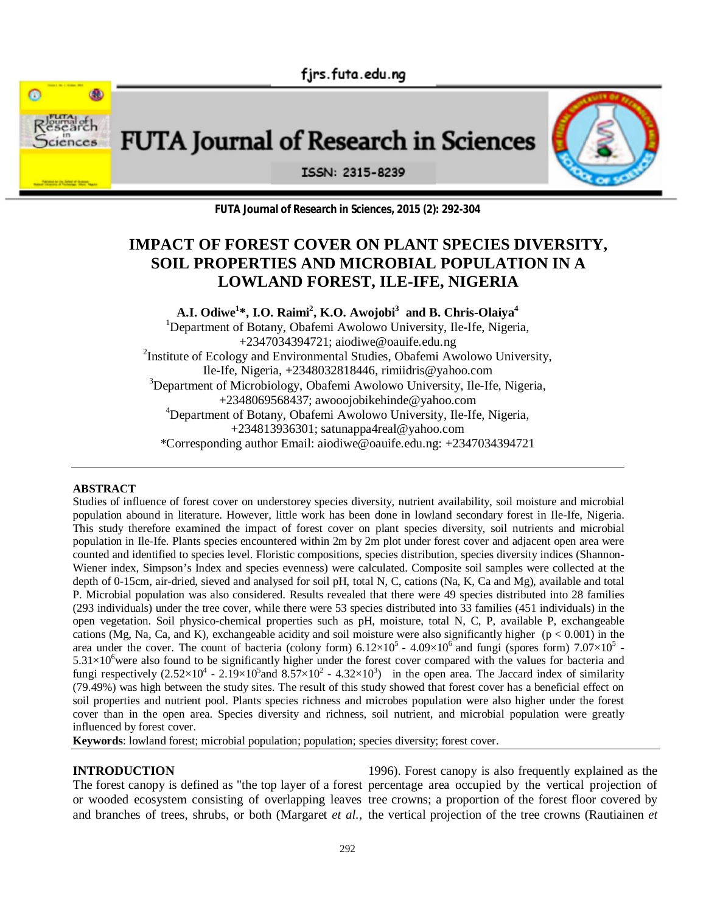fjrs.futa.edu.ng



**FUTA Journal of Research in Sciences** 



ISSN: 2315-8239

**FUTA Journal of Research in Sciences, 2015 (2): 292-304**

# **IMPACT OF FOREST COVER ON PLANT SPECIES DIVERSITY, SOIL PROPERTIES AND MICROBIAL POPULATION IN A LOWLAND FOREST, ILE-IFE, NIGERIA**

**A.I. Odiwe<sup>1</sup> \*, I.O. Raimi<sup>2</sup> , K.O. Awojobi<sup>3</sup> and B. Chris-Olaiya<sup>4</sup>** <sup>1</sup>Department of Botany, Obafemi Awolowo University, Ile-Ife, Nigeria, +2347034394721; aiodiwe@oauife.edu.ng <sup>2</sup>Institute of Ecology and Environmental Studies, Obafemi Awolowo University, Ile-Ife, Nigeria, +2348032818446, rimiidris@yahoo.com <sup>3</sup>Department of Microbiology, Obafemi Awolowo University, Ile-Ife, Nigeria, +2348069568437; awooojobikehinde@yahoo.com <sup>4</sup>Department of Botany, Obafemi Awolowo University, Ile-Ife, Nigeria, +234813936301; satunappa4real@yahoo.com \*Corresponding author Email: aiodiwe@oauife.edu.ng: +2347034394721

#### **ABSTRACT**

Studies of influence of forest cover on understorey species diversity, nutrient availability, soil moisture and microbial population abound in literature. However, little work has been done in lowland secondary forest in Ile-Ife, Nigeria. This study therefore examined the impact of forest cover on plant species diversity, soil nutrients and microbial population in Ile-Ife. Plants species encountered within 2m by 2m plot under forest cover and adjacent open area were counted and identified to species level. Floristic compositions, species distribution, species diversity indices (Shannon-Wiener index, Simpson's Index and species evenness) were calculated. Composite soil samples were collected at the depth of 0-15cm, air-dried, sieved and analysed for soil pH, total N, C, cations (Na, K, Ca and Mg), available and total P. Microbial population was also considered. Results revealed that there were 49 species distributed into 28 families (293 individuals) under the tree cover, while there were 53 species distributed into 33 families (451 individuals) in the open vegetation. Soil physico-chemical properties such as pH, moisture, total N, C, P, available P, exchangeable cations (Mg, Na, Ca, and K), exchangeable acidity and soil moisture were also significantly higher ( $p < 0.001$ ) in the area under the cover. The count of bacteria (colony form)  $6.12 \times 10^5$  -  $4.09 \times 10^6$  and fungi (spores form)  $7.07 \times 10^5$  - $5.31\times10^{6}$  were also found to be significantly higher under the forest cover compared with the values for bacteria and fungi respectively  $(2.52 \times 10^4 - 2.19 \times 10^5)$  and  $8.57 \times 10^2 - 4.32 \times 10^3$  in the open area. The Jaccard index of similarity (79.49%) was high between the study sites. The result of this study showed that forest cover has a beneficial effect on soil properties and nutrient pool. Plants species richness and microbes population were also higher under the forest cover than in the open area. Species diversity and richness, soil nutrient, and microbial population were greatly influenced by forest cover.

**Keywords**: lowland forest; microbial population; population; species diversity; forest cover.

## **INTRODUCTION**

The forest canopy is defined as "the top layer of a forest percentage area occupied by the vertical projection of or wooded ecosystem consisting of overlapping leaves tree crowns; a proportion of the forest floor covered by and branches of trees, shrubs, or both (Margaret *et al.,* the vertical projection of the tree crowns (Rautiainen *et* 1996). Forest canopy is also frequently explained as the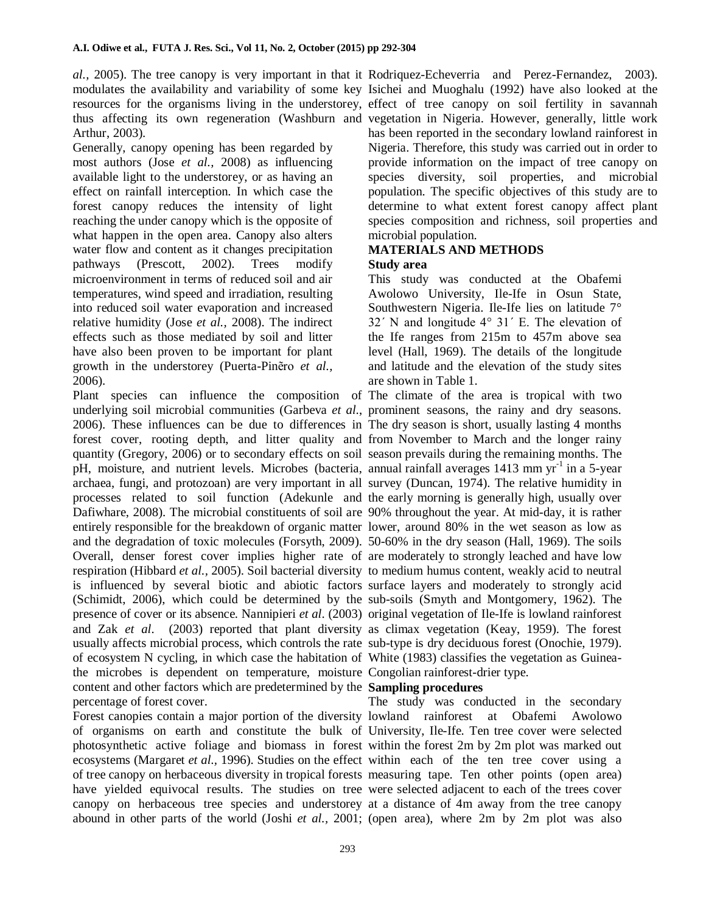Arthur, 2003).

Generally, canopy opening has been regarded by most authors (Jose *et al.,* 2008) as influencing available light to the understorey, or as having an effect on rainfall interception. In which case the forest canopy reduces the intensity of light reaching the under canopy which is the opposite of what happen in the open area. Canopy also alters water flow and content as it changes precipitation pathways (Prescott, 2002). Trees modify microenvironment in terms of reduced soil and air temperatures, wind speed and irradiation, resulting into reduced soil water evaporation and increased relative humidity (Jose *et al.,* 2008). The indirect effects such as those mediated by soil and litter have also been proven to be important for plant growth in the understorey (Puerta-Pinẽro *et al.,* 2006).

Plant species can influence the composition of The climate of the area is tropical with two underlying soil microbial communities (Garbeva *et al*., prominent seasons, the rainy and dry seasons. 2006). These influences can be due to differences in The dry season is short, usually lasting 4 months forest cover, rooting depth, and litter quality and from November to March and the longer rainy quantity (Gregory, 2006) or to secondary effects on soil season prevails during the remaining months. The pH, moisture, and nutrient levels. Microbes (bacteria, annual rainfall averages 1413 mm yr<sup>-1</sup> in a 5-year archaea, fungi, and protozoan) are very important in all survey (Duncan, 1974). The relative humidity in processes related to soil function (Adekunle and the early morning is generally high, usually over Dafiwhare, 2008). The microbial constituents of soil are 90% throughout the year. At mid-day, it is rather entirely responsible for the breakdown of organic matter lower, around 80% in the wet season as low as and the degradation of toxic molecules (Forsyth, 2009). 50-60% in the dry season (Hall, 1969). The soils Overall, denser forest cover implies higher rate of are moderately to strongly leached and have low respiration (Hibbard *et al.,* 2005). Soil bacterial diversity to medium humus content, weakly acid to neutral is influenced by several biotic and abiotic factors surface layers and moderately to strongly acid (Schimidt, 2006), which could be determined by the sub-soils (Smyth and Montgomery, 1962). The presence of cover or its absence. Nannipieri *et al*. (2003) original vegetation of Ile-Ife is lowland rainforest and Zak *et al*. (2003) reported that plant diversity as climax vegetation (Keay, 1959). The forest usually affects microbial process, which controls the rate sub-type is dry deciduous forest (Onochie, 1979). of ecosystem N cycling, in which case the habitation of White (1983) classifies the vegetation as Guineathe microbes is dependent on temperature, moisture Congolian rainforest-drier type. content and other factors which are predetermined by the **Sampling procedures** percentage of forest cover.

Forest canopies contain a major portion of the diversity lowland rainforest at Obafemi Awolowo of organisms on earth and constitute the bulk of University, Ile-Ife. Ten tree cover were selected photosynthetic active foliage and biomass in forest within the forest 2m by 2m plot was marked out ecosystems (Margaret *et al.,* 1996). Studies on the effect within each of the ten tree cover using a of tree canopy on herbaceous diversity in tropical forests measuring tape. Ten other points (open area) have yielded equivocal results. The studies on tree were selected adjacent to each of the trees cover canopy on herbaceous tree species and understorey at a distance of 4m away from the tree canopy abound in other parts of the world (Joshi *et al.,* 2001; (open area), where 2m by 2m plot was also

*al.,* 2005). The tree canopy is very important in that it Rodriquez-Echeverria and Perez-Fernandez, 2003). modulates the availability and variability of some key Isichei and Muoghalu (1992) have also looked at the resources for the organisms living in the understorey, effect of tree canopy on soil fertility in savannah thus affecting its own regeneration (Washburn and vegetation in Nigeria. However, generally, little work has been reported in the secondary lowland rainforest in Nigeria. Therefore, this study was carried out in order to provide information on the impact of tree canopy on species diversity, soil properties, and microbial population. The specific objectives of this study are to determine to what extent forest canopy affect plant species composition and richness, soil properties and microbial population.

#### **MATERIALS AND METHODS Study area**

This study was conducted at the Obafemi Awolowo University, Ile-Ife in Osun State, Southwestern Nigeria. Ile-Ife lies on latitude 7° 32΄ N and longitude 4° 31΄ E. The elevation of the Ife ranges from 215m to 457m above sea level (Hall, 1969). The details of the longitude and latitude and the elevation of the study sites are shown in Table 1.

The study was conducted in the secondary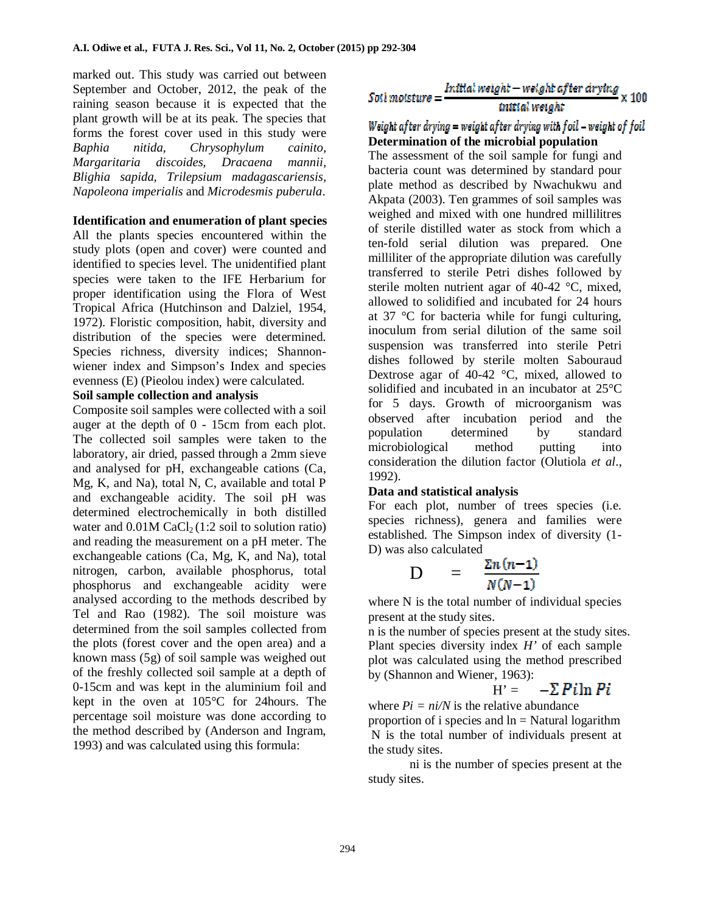marked out. This study was carried out between September and October, 2012, the peak of the raining season because it is expected that the plant growth will be at its peak. The species that forms the forest cover used in this study were *Baphia nitida, Chrysophylum cainito, Margaritaria discoides, Dracaena mannii, Blighia sapida, Trilepsium madagascariensis, Napoleona imperialis* and *Microdesmis puberula*.

## **Identification and enumeration of plant species**

All the plants species encountered within the study plots (open and cover) were counted and identified to species level. The unidentified plant species were taken to the IFE Herbarium for proper identification using the Flora of West Tropical Africa (Hutchinson and Dalziel, 1954, 1972). Floristic composition, habit, diversity and distribution of the species were determined. Species richness, diversity indices; Shannonwiener index and Simpson's Index and species evenness (E) (Pieolou index) were calculated.

#### **Soil sample collection and analysis**

Composite soil samples were collected with a soil auger at the depth of 0 - 15cm from each plot. The collected soil samples were taken to the laboratory, air dried, passed through a 2mm sieve and analysed for pH, exchangeable cations (Ca, Mg, K, and Na), total N, C, available and total P and exchangeable acidity. The soil pH was determined electrochemically in both distilled water and  $0.01M$  CaCl<sub>2</sub> (1:2 soil to solution ratio) and reading the measurement on a pH meter. The exchangeable cations (Ca, Mg, K, and Na), total nitrogen, carbon, available phosphorus, total phosphorus and exchangeable acidity were analysed according to the methods described by Tel and Rao (1982). The soil moisture was determined from the soil samples collected from the plots (forest cover and the open area) and a known mass (5g) of soil sample was weighed out of the freshly collected soil sample at a depth of 0-15cm and was kept in the aluminium foil and kept in the oven at 105°C for 24hours. The percentage soil moisture was done according to the method described by (Anderson and Ingram, 1993) and was calculated using this formula:

$$
So it most a useful weight-weight after drying \times 100
$$
  
initial weight

## Weight after drying  $=$  weight after drying with foil – weight of foil **Determination of the microbial population**

The assessment of the soil sample for fungi and bacteria count was determined by standard pour plate method as described by Nwachukwu and Akpata (2003). Ten grammes of soil samples was weighed and mixed with one hundred millilitres of sterile distilled water as stock from which a ten-fold serial dilution was prepared. One milliliter of the appropriate dilution was carefully transferred to sterile Petri dishes followed by sterile molten nutrient agar of 40-42 °C, mixed, allowed to solidified and incubated for 24 hours at 37 °C for bacteria while for fungi culturing, inoculum from serial dilution of the same soil suspension was transferred into sterile Petri dishes followed by sterile molten Sabouraud Dextrose agar of 40-42 °C, mixed, allowed to solidified and incubated in an incubator at 25°C for 5 days. Growth of microorganism was observed after incubation period and the population determined by standard microbiological method putting into consideration the dilution factor (Olutiola *et al*., 1992).

## **Data and statistical analysis**

For each plot, number of trees species (i.e. species richness), genera and families were established. The Simpson index of diversity (1- D) was also calculated

$$
D = \frac{\Sigma n (n-1)}{N(N-1)}
$$

where N is the total number of individual species present at the study sites.

n is the number of species present at the study sites. Plant species diversity index *H'* of each sample plot was calculated using the method prescribed by (Shannon and Wiener, 1963):

 $-\Sigma P$ iln Pi  $H' =$ 

where  $Pi = ni/N$  is the relative abundance proportion of i species and  $\ln =$  Natural logarithm N is the total number of individuals present at the study sites.

ni is the number of species present at the study sites.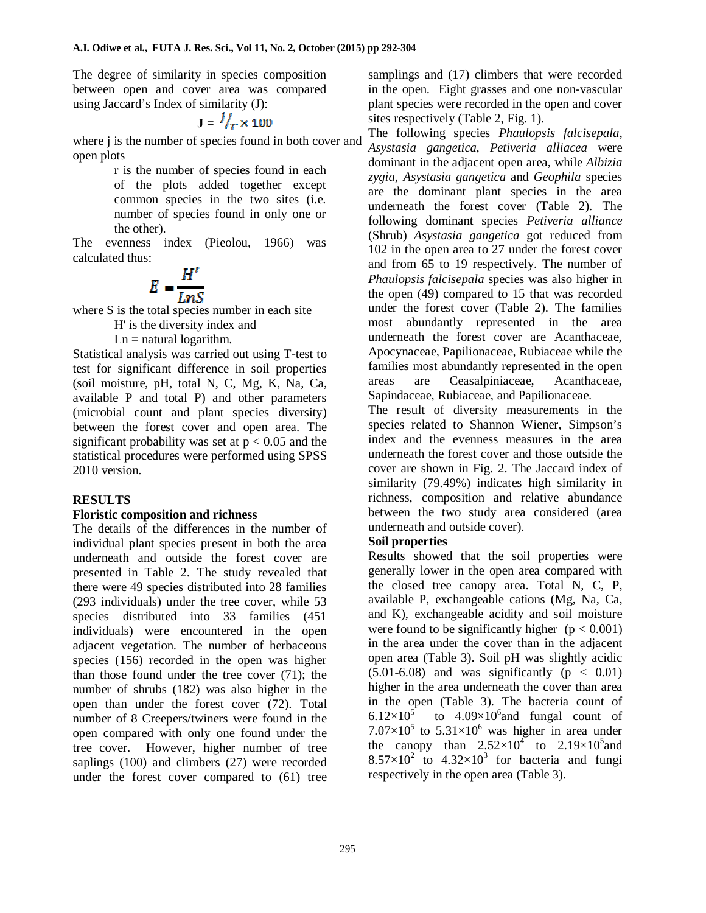The degree of similarity in species composition between open and cover area was compared using Jaccard's Index of similarity (J):

$$
J = \frac{l}{r} \times 100
$$

where *j* is the number of species found in both cover and open plots

> r is the number of species found in each of the plots added together except common species in the two sites (i.e. number of species found in only one or the other).

The evenness index (Pieolou, 1966) was calculated thus:

$$
E=\frac{H'}{LnS}
$$

where S is the total species number in each site

H' is the diversity index and

 $Ln = natural logarithm$ .

Statistical analysis was carried out using T-test to test for significant difference in soil properties (soil moisture, pH, total N, C, Mg, K, Na, Ca, available P and total P) and other parameters (microbial count and plant species diversity) between the forest cover and open area. The significant probability was set at  $p < 0.05$  and the statistical procedures were performed using SPSS 2010 version.

## **RESULTS**

## **Floristic composition and richness**

The details of the differences in the number of individual plant species present in both the area underneath and outside the forest cover are presented in Table 2. The study revealed that there were 49 species distributed into 28 families (293 individuals) under the tree cover, while 53 species distributed into 33 families (451) individuals) were encountered in the open adjacent vegetation. The number of herbaceous species (156) recorded in the open was higher than those found under the tree cover (71); the number of shrubs (182) was also higher in the open than under the forest cover (72). Total number of 8 Creepers/twiners were found in the open compared with only one found under the tree cover. However, higher number of tree saplings (100) and climbers (27) were recorded under the forest cover compared to (61) tree samplings and (17) climbers that were recorded in the open. Eight grasses and one non-vascular plant species were recorded in the open and cover sites respectively (Table 2, Fig. 1).

The following species *Phaulopsis falcisepala*, *Asystasia gangetica*, *Petiveria alliacea* were dominant in the adjacent open area, while *Albizia zygia, Asystasia gangetica* and *Geophila* species are the dominant plant species in the area underneath the forest cover (Table 2). The following dominant species *Petiveria alliance*  (Shrub) *Asystasia gangetica* got reduced from 102 in the open area to 27 under the forest cover and from 65 to 19 respectively. The number of *Phaulopsis falcisepala* species was also higher in the open (49) compared to 15 that was recorded under the forest cover (Table 2). The families most abundantly represented in the area underneath the forest cover are Acanthaceae, Apocynaceae, Papilionaceae, Rubiaceae while the families most abundantly represented in the open areas are Ceasalpiniaceae, Acanthaceae, Sapindaceae, Rubiaceae, and Papilionaceae.

The result of diversity measurements in the species related to Shannon Wiener, Simpson's index and the evenness measures in the area underneath the forest cover and those outside the cover are shown in Fig. 2. The Jaccard index of similarity (79.49%) indicates high similarity in richness, composition and relative abundance between the two study area considered (area underneath and outside cover).

## **Soil properties**

Results showed that the soil properties were generally lower in the open area compared with the closed tree canopy area. Total N, C, P, available P, exchangeable cations (Mg, Na, Ca, and K), exchangeable acidity and soil moisture were found to be significantly higher  $(p < 0.001)$ in the area under the cover than in the adjacent open area (Table 3). Soil pH was slightly acidic  $(5.01-6.08)$  and was significantly  $(p < 0.01)$ higher in the area underneath the cover than area in the open (Table 3). The bacteria count of  $6.12\times10^{5}$ to  $4.09\times10^6$  and fungal count of  $7.07\times10^{5}$  to  $5.31\times10^{6}$  was higher in area under the canopy than  $2.52 \times 10^4$  to  $2.19 \times 10^5$  and  $8.57 \times 10^2$  to  $4.32 \times 10^3$  for bacteria and fungi respectively in the open area (Table 3).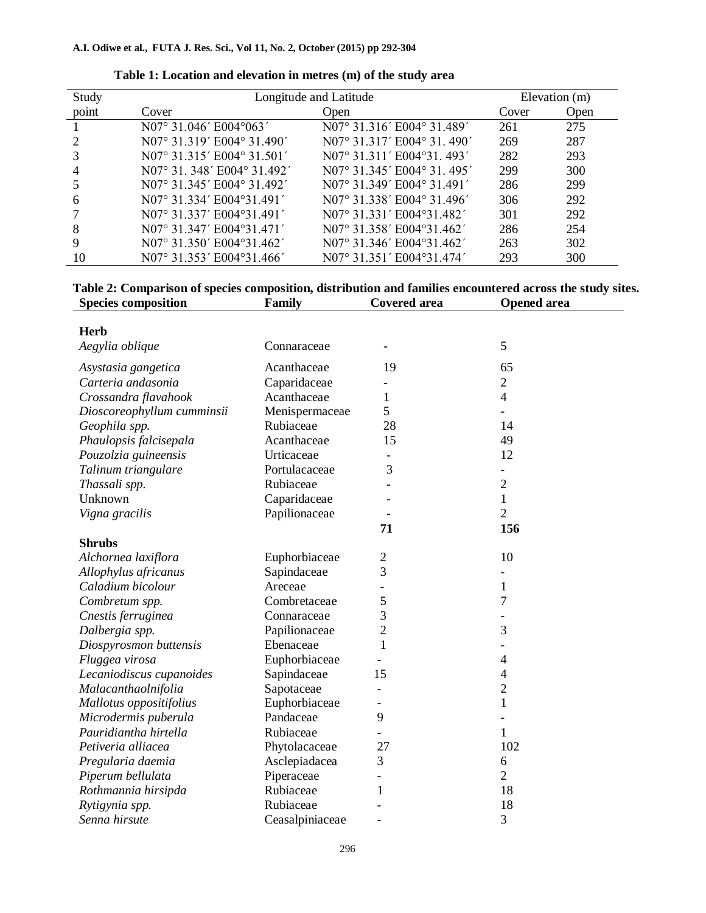#### **A.I. Odiwe et al., FUTA J. Res. Sci., Vol 11, No. 2, October (2015) pp 292-304**

| Study | Longitude and Latitude     |                            | Elevation (m) |      |
|-------|----------------------------|----------------------------|---------------|------|
| point | Cover                      | Open                       | Cover         | Open |
|       | N07° 31.046' E004°063'     | N07° 31.316' E004° 31.489' | 261           | 275  |
|       | N07° 31.319′ E004° 31.490′ | N07° 31.317′ E004° 31.490′ | 269           | 287  |
|       | N07° 31.315′ E004° 31.501′ | N07° 31.311′ E004°31, 493′ | 282           | 293  |
|       | N07° 31.348' E004° 31.492' | N07° 31.345′ E004° 31.495′ | 299           | 300  |
|       | N07° 31.345′ E004° 31.492′ | N07° 31.349′ E004° 31.491′ | 286           | 299  |
| 6     | N07° 31.334' E004°31.491'  | N07° 31.338' E004° 31.496' | 306           | 292  |
|       | N07° 31.337' E004°31.491'  | N07° 31.331′ E004°31.482′  | 301           | 292  |
| 8     | N07° 31.347′ E004°31.471′  | N07° 31.358' E004°31.462'  | 286           | 254  |
|       | N07° 31.350' E004°31.462'  | N07° 31.346' E004°31.462'  | 263           | 302  |
| 10    | N07° 31.353′ E004°31.466′  | N07° 31.351′ E004°31.474′  | 293           | 300  |

#### **Table 1: Location and elevation in metres (m) of the study area**

## **Table 2: Comparison of species composition, distribution and families encountered across the study sites. Species composition Family Covered area Opened area**

| <b>Herb</b>                |                 |                          | 5              |
|----------------------------|-----------------|--------------------------|----------------|
| Aegylia oblique            | Connaraceae     |                          |                |
| Asystasia gangetica        | Acanthaceae     | 19                       | 65             |
| Carteria andasonia         | Caparidaceae    |                          | $\overline{c}$ |
| Crossandra flavahook       | Acanthaceae     | 1                        | $\overline{4}$ |
| Dioscoreophyllum cumminsii | Menispermaceae  | 5                        |                |
| Geophila spp.              | Rubiaceae       | 28                       | 14             |
| Phaulopsis falcisepala     | Acanthaceae     | 15                       | 49             |
| Pouzolzia guineensis       | Urticaceae      |                          | 12             |
| Talinum triangulare        | Portulacaceae   | 3                        |                |
| Thassali spp.              | Rubiaceae       |                          | $\overline{2}$ |
| Unknown                    | Caparidaceae    |                          | $\mathbf{1}$   |
| Vigna gracilis             | Papilionaceae   |                          | $\overline{2}$ |
|                            |                 | 71                       | 156            |
| <b>Shrubs</b>              |                 |                          |                |
| Alchornea laxiflora        | Euphorbiaceae   | $\overline{c}$           | 10             |
| Allophylus africanus       | Sapindaceae     | 3                        |                |
| Caladium bicolour          | Areceae         |                          | 1              |
| Combretum spp.             | Combretaceae    | 5                        | $\overline{7}$ |
| Cnestis ferruginea         | Connaraceae     | 3                        |                |
| Dalbergia spp.             | Papilionaceae   | $\overline{2}$           | 3              |
| Diospyrosmon buttensis     | Ebenaceae       | 1                        |                |
| Fluggea virosa             | Euphorbiaceae   | $\overline{\phantom{0}}$ | $\overline{4}$ |
| Lecaniodiscus cupanoides   | Sapindaceae     | 15                       | $\overline{4}$ |
| Malacanthaolnifolia        | Sapotaceae      |                          | $\overline{2}$ |
| Mallotus oppositifolius    | Euphorbiaceae   |                          | $\mathbf{1}$   |
| Microdermis puberula       | Pandaceae       | 9                        |                |
| Pauridiantha hirtella      | Rubiaceae       |                          | 1              |
| Petiveria alliacea         | Phytolacaceae   | 27                       | 102            |
| Pregularia daemia          | Asclepiadacea   | 3                        | 6              |
| Piperum bellulata          | Piperaceae      |                          | $\overline{2}$ |
| Rothmannia hirsipda        | Rubiaceae       | 1                        | 18             |
| Rytigynia spp.             | Rubiaceae       |                          | 18             |
| Senna hirsute              | Ceasalpiniaceae |                          | 3              |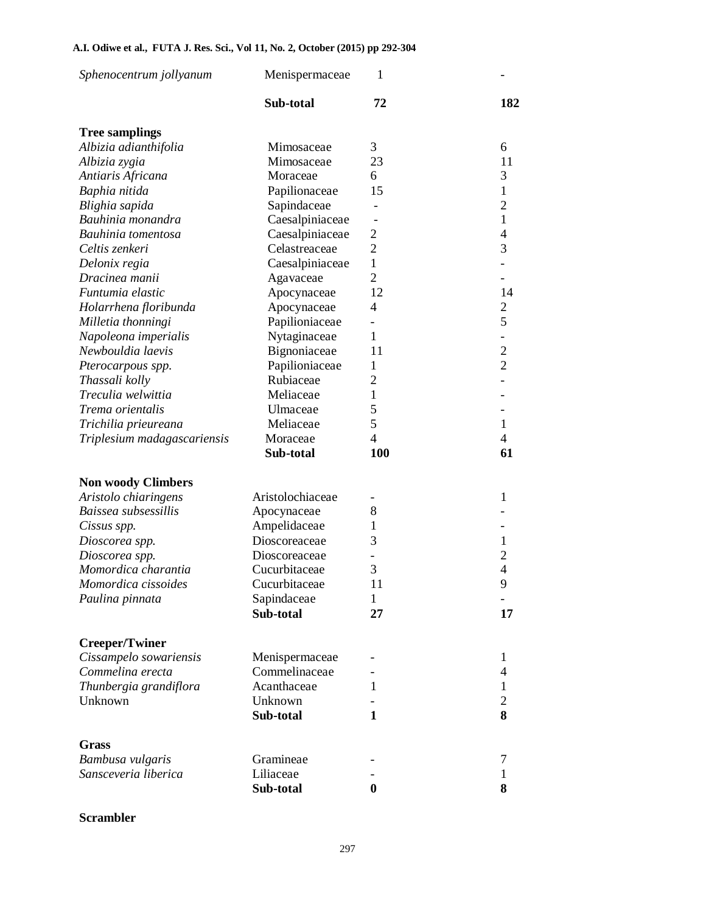#### **A.I. Odiwe et al., FUTA J. Res. Sci., Vol 11, No. 2, October (2015) pp 292-304**

| Sphenocentrum jollyanum     | Menispermaceae   | 1                        |                          |
|-----------------------------|------------------|--------------------------|--------------------------|
|                             | Sub-total        | 72                       | 182                      |
| <b>Tree samplings</b>       |                  |                          |                          |
| Albizia adianthifolia       | Mimosaceae       | 3                        | 6                        |
| Albizia zygia               | Mimosaceae       | 23                       | 11                       |
| Antiaris Africana           | Moraceae         | 6                        | 3                        |
| Baphia nitida               | Papilionaceae    | 15                       | $\mathbf{1}$             |
| Blighia sapida              | Sapindaceae      |                          | $\overline{2}$           |
| Bauhinia monandra           | Caesalpiniaceae  |                          | $\mathbf{1}$             |
| Bauhinia tomentosa          | Caesalpiniaceae  | $\overline{2}$           | $\overline{4}$           |
| Celtis zenkeri              | Celastreaceae    | $\overline{2}$           | 3                        |
| Delonix regia               | Caesalpiniaceae  | 1                        |                          |
| Dracinea manii              | Agavaceae        | $\overline{2}$           |                          |
| Funtumia elastic            | Apocynaceae      | 12                       | 14                       |
| Holarrhena floribunda       | Apocynaceae      | 4                        | $\overline{c}$           |
| Milletia thonningi          | Papilioniaceae   | $\overline{\phantom{0}}$ | 5                        |
| Napoleona imperialis        | Nytaginaceae     | 1                        | $\overline{\phantom{a}}$ |
| Newbouldia laevis           | Bignoniaceae     | 11                       | $\overline{c}$           |
| Pterocarpous spp.           | Papilioniaceae   | 1                        | $\overline{2}$           |
| Thassali kolly              | Rubiaceae        | $\overline{2}$           |                          |
| Treculia welwittia          | Meliaceae        | 1                        |                          |
| Trema orientalis            | Ulmaceae         | 5                        |                          |
| Trichilia prieureana        | Meliaceae        | 5                        | $\mathbf{1}$             |
| Triplesium madagascariensis | Moraceae         | $\overline{4}$           | $\overline{\mathcal{A}}$ |
|                             | Sub-total        | 100                      | 61                       |
| <b>Non woody Climbers</b>   |                  |                          |                          |
| Aristolo chiaringens        | Aristolochiaceae |                          | 1                        |
| Baissea subsessillis        | Apocynaceae      | 8                        |                          |
| Cissus spp.                 | Ampelidaceae     | 1                        |                          |
| Dioscorea spp.              | Dioscoreaceae    | 3                        | 1                        |
| Dioscorea spp.              | Dioscoreaceae    |                          | $\overline{c}$           |
| Momordica charantia         | Cucurbitaceae    | 3                        | $\overline{4}$           |
| <i>Momordica cissoides</i>  | Cucurbitaceae    | 11                       | 9                        |
| Paulina pinnata             | Sapindaceae      | 1                        |                          |
|                             | Sub-total        | 27                       | 17                       |
| <b>Creeper/Twiner</b>       |                  |                          |                          |
| Cissampelo sowariensis      | Menispermaceae   |                          | 1                        |
| Commelina erecta            | Commelinaceae    |                          | $\overline{4}$           |
| Thunbergia grandiflora      | Acanthaceae      | 1                        | $\mathbf{1}$             |
| Unknown                     | Unknown          |                          | $\overline{c}$           |
|                             | Sub-total        | 1                        | 8                        |
| Grass                       |                  |                          |                          |
| Bambusa vulgaris            | Gramineae        |                          | 7                        |
| Sansceveria liberica        | Liliaceae        |                          | 1                        |
|                             | Sub-total        | $\bf{0}$                 | 8                        |

## **Scrambler**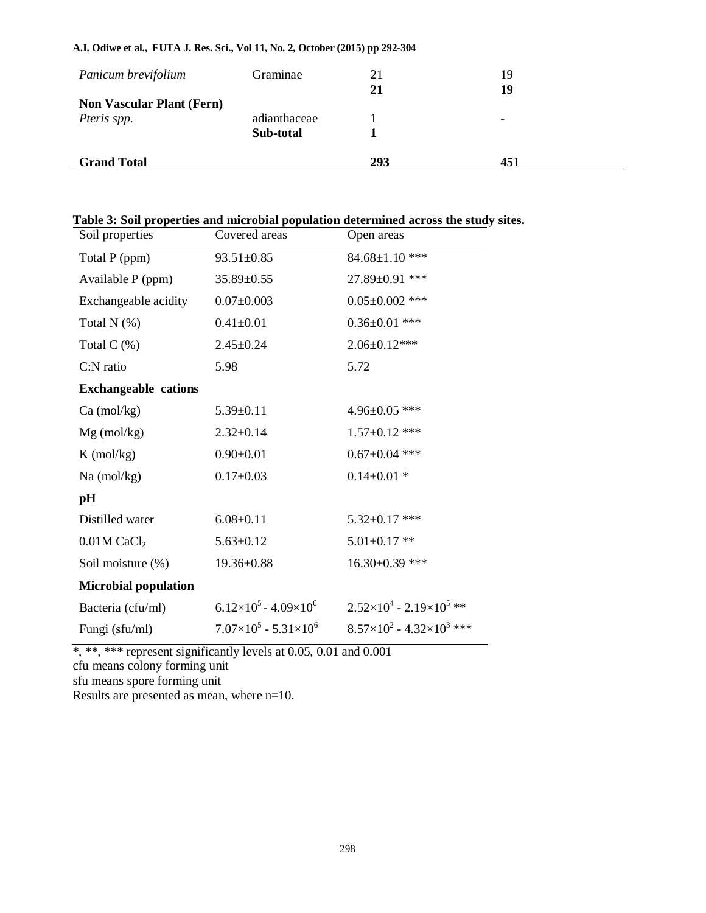## **A.I. Odiwe et al., FUTA J. Res. Sci., Vol 11, No. 2, October (2015) pp 292-304**

| Panicum brevifolium              | Graminae     | 21<br>21 | 19<br>19                 |
|----------------------------------|--------------|----------|--------------------------|
| <b>Non Vascular Plant (Fern)</b> |              |          |                          |
| Pteris spp.                      | adianthaceae |          | $\overline{\phantom{0}}$ |
|                                  | Sub-total    |          |                          |
| <b>Grand Total</b>               |              | 293      | 451                      |

## **Table 3: Soil properties and microbial population determined across the study sites.**

| Soil properties             | Covered areas                        | Open areas                                    |
|-----------------------------|--------------------------------------|-----------------------------------------------|
| Total P (ppm)               | $93.51 \pm 0.85$                     | 84.68±1.10 ***                                |
| Available P (ppm)           | $35.89 \pm 0.55$                     | 27.89±0.91 ***                                |
| Exchangeable acidity        | $0.07 \pm 0.003$                     | $0.05 \pm 0.002$ ***                          |
| Total $N$ $(\%)$            | $0.41 \pm 0.01$                      | $0.36 \pm 0.01$ ***                           |
| Total $C(\%)$               | $2.45 \pm 0.24$                      | $2.06 \pm 0.12***$                            |
| C:N ratio                   | 5.98                                 | 5.72                                          |
| <b>Exchangeable cations</b> |                                      |                                               |
| $Ca \text{ (mol/kg)}$       | $5.39 \pm 0.11$                      | $4.96 \pm 0.05$ ***                           |
| $Mg$ (mol/kg)               | $2.32 \pm 0.14$                      | $1.57 \pm 0.12$ ***                           |
| $K \text{ (mol/kg)}$        | $0.90 \pm 0.01$                      | $0.67 \pm 0.04$ ***                           |
| $Na$ (mol/kg)               | $0.17 \pm 0.03$                      | $0.14 \pm 0.01$ *                             |
| pH                          |                                      |                                               |
| Distilled water             | $6.08 \pm 0.11$                      | $5.32 \pm 0.17$ ***                           |
| $0.01M$ CaCl <sub>2</sub>   | $5.63 \pm 0.12$                      | $5.01 \pm 0.17$ **                            |
| Soil moisture (%)           | $19.36 \pm 0.88$                     | $16.30\pm0.39$ ***                            |
| <b>Microbial population</b> |                                      |                                               |
| Bacteria (cfu/ml)           | $6.12\times10^5$ - 4.09 $\times10^6$ | $2.52\times10^{4}$ - 2.19 $\times10^{5}$ **   |
| Fungi (sfu/ml)              | $7.07\times10^5 - 5.31\times10^6$    | $8.57\times10^{2}$ - 4.32×10 <sup>3</sup> *** |

\*, \*\*, \*\*\* represent significantly levels at 0.05, 0.01 and 0.001

cfu means colony forming unit

sfu means spore forming unit

Results are presented as mean, where n=10.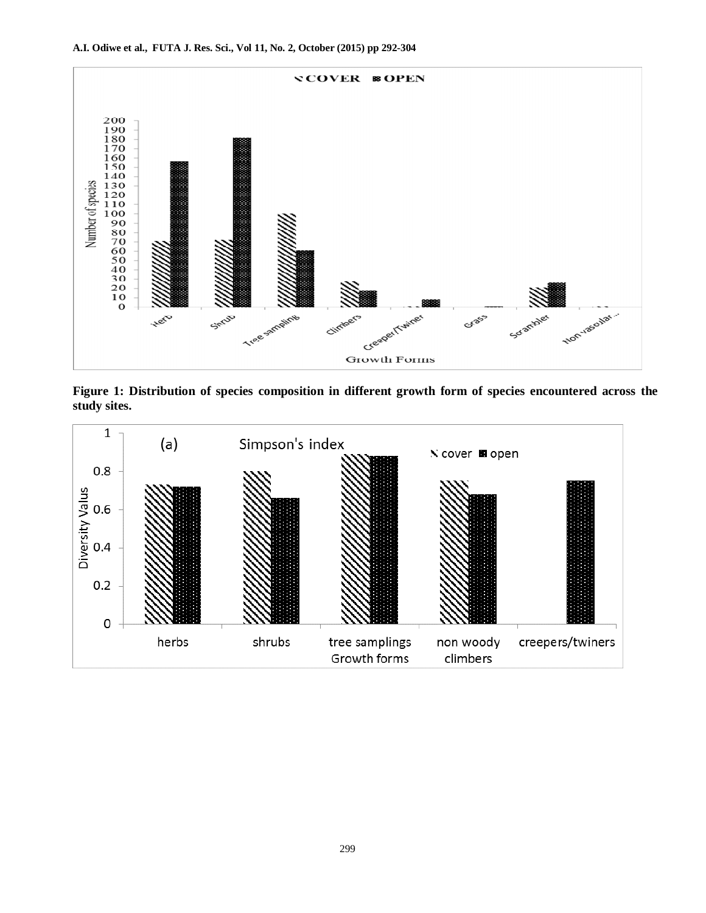

**Figure 1: Distribution of species composition in different growth form of species encountered across the study sites.**

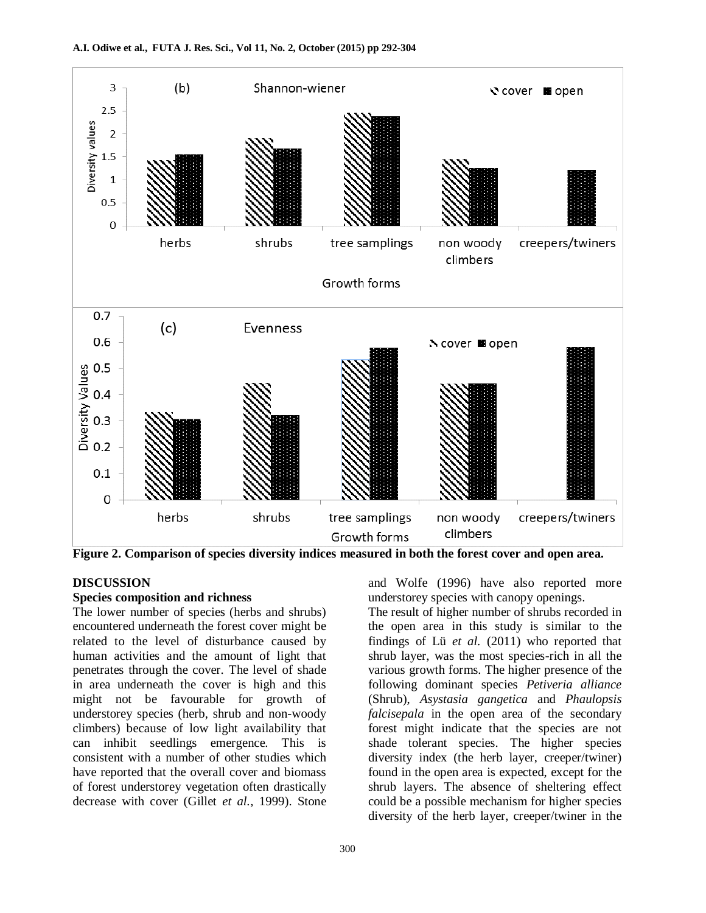

**Figure 2. Comparison of species diversity indices measured in both the forest cover and open area.**

## **DISCUSSION**

#### **Species composition and richness**

The lower number of species (herbs and shrubs) encountered underneath the forest cover might be related to the level of disturbance caused by human activities and the amount of light that penetrates through the cover. The level of shade in area underneath the cover is high and this might not be favourable for growth of understorey species (herb, shrub and non-woody climbers) because of low light availability that can inhibit seedlings emergence. This is consistent with a number of other studies which have reported that the overall cover and biomass of forest understorey vegetation often drastically decrease with cover (Gillet *et al.,* 1999). Stone The result of higher number of shrubs recorded in the open area in this study is similar to the

understorey species with canopy openings.

and Wolfe (1996) have also reported more

findings of Lü *et al.* (2011) who reported that shrub layer, was the most species-rich in all the various growth forms. The higher presence of the following dominant species *Petiveria alliance*  (Shrub), *Asystasia gangetica* and *Phaulopsis falcisepala* in the open area of the secondary forest might indicate that the species are not shade tolerant species. The higher species diversity index (the herb layer, creeper/twiner) found in the open area is expected, except for the shrub layers. The absence of sheltering effect could be a possible mechanism for higher species diversity of the herb layer, creeper/twiner in the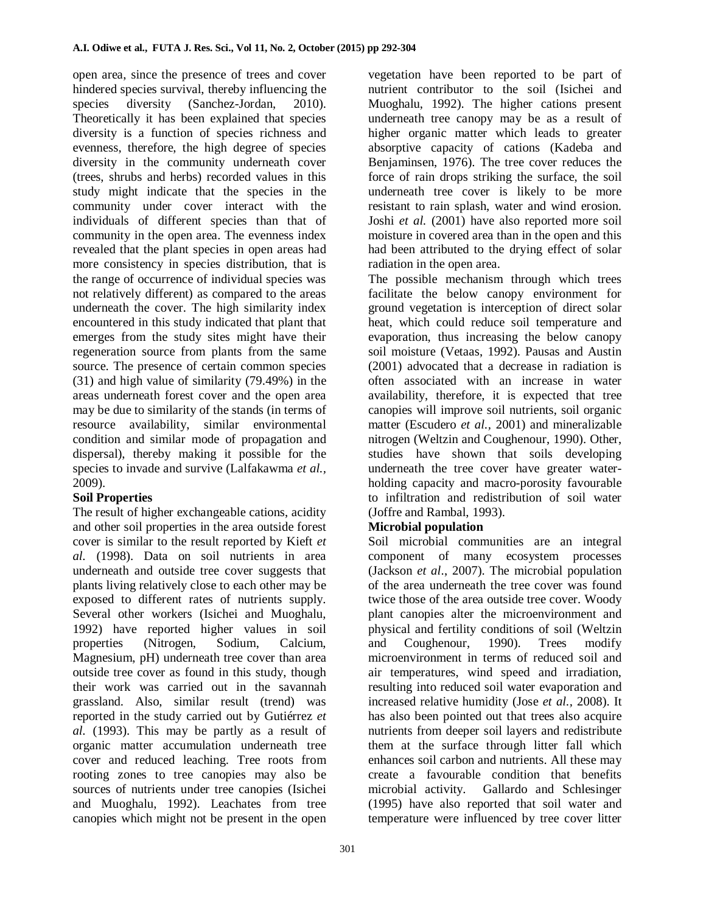open area, since the presence of trees and cover hindered species survival, thereby influencing the species diversity (Sanchez-Jordan, 2010). Theoretically it has been explained that species diversity is a function of species richness and evenness, therefore, the high degree of species diversity in the community underneath cover (trees, shrubs and herbs) recorded values in this study might indicate that the species in the community under cover interact with the individuals of different species than that of community in the open area. The evenness index revealed that the plant species in open areas had more consistency in species distribution, that is the range of occurrence of individual species was not relatively different) as compared to the areas underneath the cover. The high similarity index encountered in this study indicated that plant that emerges from the study sites might have their regeneration source from plants from the same source. The presence of certain common species (31) and high value of similarity (79.49%) in the areas underneath forest cover and the open area may be due to similarity of the stands (in terms of resource availability, similar environmental condition and similar mode of propagation and dispersal), thereby making it possible for the species to invade and survive (Lalfakawma *et al.,* 2009).

## **Soil Properties**

The result of higher exchangeable cations, acidity and other soil properties in the area outside forest cover is similar to the result reported by Kieft *et al.* (1998). Data on soil nutrients in area underneath and outside tree cover suggests that plants living relatively close to each other may be exposed to different rates of nutrients supply. Several other workers (Isichei and Muoghalu, 1992) have reported higher values in soil properties (Nitrogen, Sodium, Calcium, Magnesium, pH) underneath tree cover than area outside tree cover as found in this study, though their work was carried out in the savannah grassland. Also, similar result (trend) was reported in the study carried out by Gutiérrez *et al.* (1993). This may be partly as a result of organic matter accumulation underneath tree cover and reduced leaching. Tree roots from rooting zones to tree canopies may also be sources of nutrients under tree canopies (Isichei and Muoghalu, 1992). Leachates from tree canopies which might not be present in the open vegetation have been reported to be part of nutrient contributor to the soil (Isichei and Muoghalu, 1992). The higher cations present underneath tree canopy may be as a result of higher organic matter which leads to greater absorptive capacity of cations (Kadeba and Benjaminsen, 1976). The tree cover reduces the force of rain drops striking the surface, the soil underneath tree cover is likely to be more resistant to rain splash, water and wind erosion. Joshi *et al.* (2001) have also reported more soil moisture in covered area than in the open and this had been attributed to the drying effect of solar radiation in the open area.

The possible mechanism through which trees facilitate the below canopy environment for ground vegetation is interception of direct solar heat, which could reduce soil temperature and evaporation, thus increasing the below canopy soil moisture (Vetaas, 1992). Pausas and Austin (2001) advocated that a decrease in radiation is often associated with an increase in water availability, therefore, it is expected that tree canopies will improve soil nutrients, soil organic matter (Escudero *et al.,* 2001) and mineralizable nitrogen (Weltzin and Coughenour, 1990). Other, studies have shown that soils developing underneath the tree cover have greater waterholding capacity and macro-porosity favourable to infiltration and redistribution of soil water (Joffre and Rambal, 1993).

## **Microbial population**

Soil microbial communities are an integral component of many ecosystem processes (Jackson *et al*., 2007). The microbial population of the area underneath the tree cover was found twice those of the area outside tree cover. Woody plant canopies alter the microenvironment and physical and fertility conditions of soil (Weltzin and Coughenour, 1990). Trees modify microenvironment in terms of reduced soil and air temperatures, wind speed and irradiation, resulting into reduced soil water evaporation and increased relative humidity (Jose *et al.,* 2008). It has also been pointed out that trees also acquire nutrients from deeper soil layers and redistribute them at the surface through litter fall which enhances soil carbon and nutrients. All these may create a favourable condition that benefits microbial activity. Gallardo and Schlesinger (1995) have also reported that soil water and temperature were influenced by tree cover litter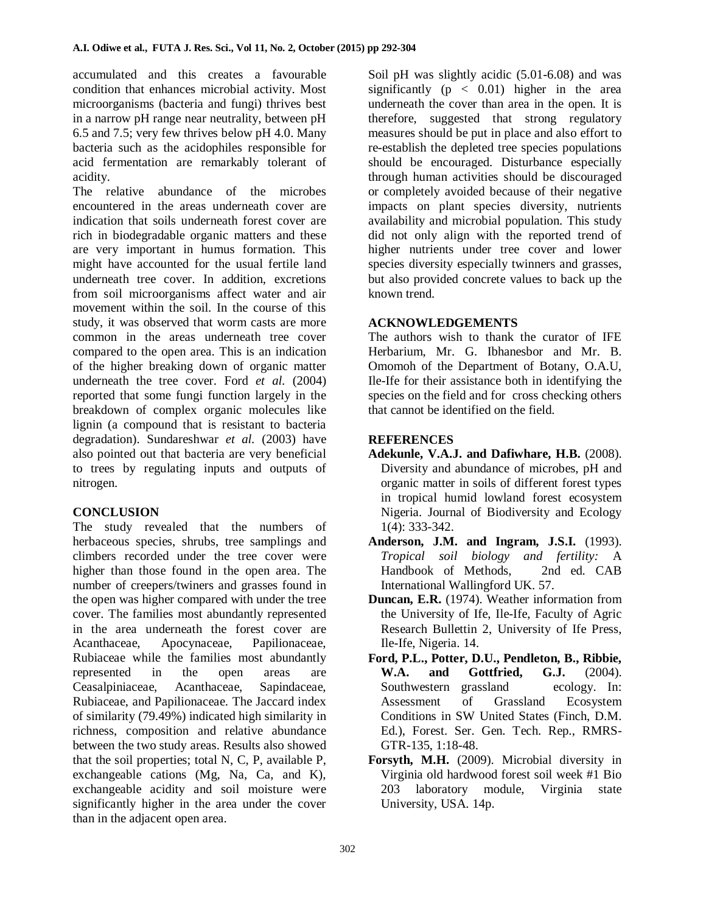accumulated and this creates a favourable condition that enhances microbial activity. Most microorganisms (bacteria and fungi) thrives best in a narrow pH range near neutrality, between pH 6.5 and 7.5; very few thrives below pH 4.0. Many bacteria such as the acidophiles responsible for acid fermentation are remarkably tolerant of acidity.

The relative abundance of the microbes encountered in the areas underneath cover are indication that soils underneath forest cover are rich in biodegradable organic matters and these are very important in humus formation. This might have accounted for the usual fertile land underneath tree cover. In addition, excretions from soil microorganisms affect water and air movement within the soil. In the course of this study, it was observed that worm casts are more common in the areas underneath tree cover compared to the open area. This is an indication of the higher breaking down of organic matter underneath the tree cover. Ford *et al.* (2004) reported that some fungi function largely in the breakdown of complex organic molecules like lignin (a compound that is resistant to bacteria degradation). Sundareshwar *et al.* (2003) have also pointed out that bacteria are very beneficial to trees by regulating inputs and outputs of nitrogen.

## **CONCLUSION**

The study revealed that the numbers of herbaceous species, shrubs, tree samplings and climbers recorded under the tree cover were higher than those found in the open area. The number of creepers/twiners and grasses found in the open was higher compared with under the tree cover. The families most abundantly represented in the area underneath the forest cover are Acanthaceae, Apocynaceae, Papilionaceae, Rubiaceae while the families most abundantly represented in the open areas are Ceasalpiniaceae, Acanthaceae, Sapindaceae, Rubiaceae, and Papilionaceae. The Jaccard index of similarity (79.49%) indicated high similarity in richness, composition and relative abundance between the two study areas. Results also showed that the soil properties; total N, C, P, available P, exchangeable cations (Mg, Na, Ca, and K), exchangeable acidity and soil moisture were significantly higher in the area under the cover than in the adjacent open area.

Soil pH was slightly acidic (5.01-6.08) and was significantly  $(p < 0.01)$  higher in the area underneath the cover than area in the open. It is therefore, suggested that strong regulatory measures should be put in place and also effort to re-establish the depleted tree species populations should be encouraged. Disturbance especially through human activities should be discouraged or completely avoided because of their negative impacts on plant species diversity, nutrients availability and microbial population. This study did not only align with the reported trend of higher nutrients under tree cover and lower species diversity especially twinners and grasses, but also provided concrete values to back up the known trend.

## **ACKNOWLEDGEMENTS**

The authors wish to thank the curator of IFE Herbarium, Mr. G. Ibhanesbor and Mr. B. Omomoh of the Department of Botany, O.A.U, Ile-Ife for their assistance both in identifying the species on the field and for cross checking others that cannot be identified on the field.

## **REFERENCES**

- **Adekunle, V.A.J. and Dafiwhare, H.B.** (2008). Diversity and abundance of microbes, pH and organic matter in soils of different forest types in tropical humid lowland forest ecosystem Nigeria. Journal of Biodiversity and Ecology 1(4): 333-342.
- **Anderson, J.M. and Ingram, J.S.I.** (1993). *Tropical soil biology and fertility:* A Handbook of Methods, 2nd ed. CAB International Wallingford UK. 57.
- **Duncan, E.R.** (1974). Weather information from the University of Ife, Ile-Ife, Faculty of Agric Research Bullettin 2, University of Ife Press, Ile-Ife, Nigeria. 14.
- **Ford, P.L., Potter, D.U., Pendleton, B., Ribbie, W.A. and Gottfried, G.J.** (2004). Southwestern grassland ecology. In: Assessment of Grassland Ecosystem Conditions in SW United States (Finch, D.M. Ed.), Forest. Ser. Gen. Tech. Rep., RMRS-GTR-135, 1:18-48.
- **Forsyth, M.H.** (2009). Microbial diversity in Virginia old hardwood forest soil week #1 Bio 203 laboratory module, Virginia state University, USA. 14p.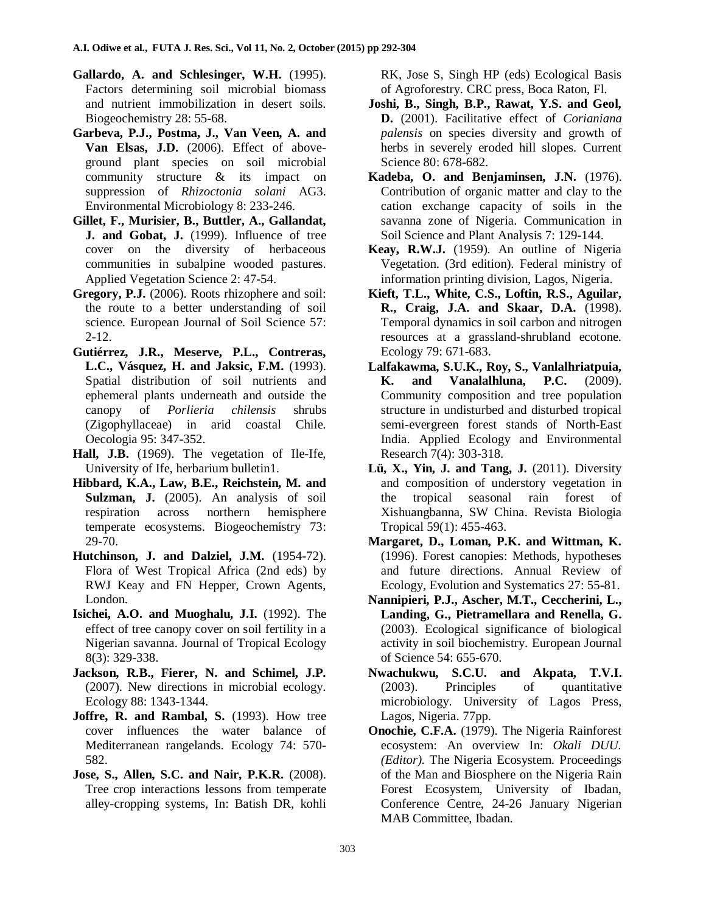- **Gallardo, A. and Schlesinger, W.H.** (1995). Factors determining soil microbial biomass and nutrient immobilization in desert soils. Biogeochemistry 28: 55-68.
- **Garbeva, P.J., Postma, J., Van Veen, A. and Van Elsas, J.D.** (2006). Effect of aboveground plant species on soil microbial community structure & its impact on suppression of *Rhizoctonia solani* AG3. Environmental Microbiology 8: 233-246.
- **Gillet, F., Murisier, B., Buttler, A., Gallandat, J. and Gobat, J.** (1999). Influence of tree cover on the diversity of herbaceous communities in subalpine wooded pastures. Applied Vegetation Science 2: 47-54.
- **Gregory, P.J.** (2006). Roots rhizophere and soil: the route to a better understanding of soil science. European Journal of Soil Science 57: 2-12.
- **Gutiérrez, J.R., Meserve, P.L., Contreras, L.C., Vásquez, H. and Jaksic, F.M.** (1993). Spatial distribution of soil nutrients and ephemeral plants underneath and outside the canopy of *Porlieria chilensis* shrubs (Zigophyllaceae) in arid coastal Chile. Oecologia 95: 347-352.
- **Hall, J.B.** (1969). The vegetation of Ile-Ife, University of Ife, herbarium bulletin1.
- **Hibbard, K.A., Law, B.E., Reichstein, M. and Sulzman, J.** (2005). An analysis of soil respiration across northern hemisphere temperate ecosystems. Biogeochemistry 73: 29-70.
- **Hutchinson, J. and Dalziel, J.M.** (1954-72). Flora of West Tropical Africa (2nd eds) by RWJ Keay and FN Hepper, Crown Agents, London.
- **Isichei, A.O. and Muoghalu, J.I.** (1992). The effect of tree canopy cover on soil fertility in a Nigerian savanna. Journal of Tropical Ecology 8(3): 329-338.
- **Jackson, R.B., Fierer, N. and Schimel, J.P.** (2007). New directions in microbial ecology. Ecology 88: 1343-1344.
- **Joffre, R. and Rambal, S.** (1993). How tree cover influences the water balance of Mediterranean rangelands. Ecology 74: 570- 582.
- **Jose, S., Allen, S.C. and Nair, P.K.R.** (2008). Tree crop interactions lessons from temperate alley-cropping systems, In: Batish DR, kohli

RK, Jose S, Singh HP (eds) Ecological Basis of Agroforestry. CRC press, Boca Raton, Fl.

- **Joshi, B., Singh, B.P., Rawat, Y.S. and Geol, D.** (2001). Facilitative effect of *Corianiana palensis* on species diversity and growth of herbs in severely eroded hill slopes. Current Science 80: 678-682.
- **Kadeba, O. and Benjaminsen, J.N.** (1976). Contribution of organic matter and clay to the cation exchange capacity of soils in the savanna zone of Nigeria. Communication in Soil Science and Plant Analysis 7: 129-144.
- **Keay, R.W.J.** (1959). An outline of Nigeria Vegetation. (3rd edition). Federal ministry of information printing division, Lagos, Nigeria.
- **Kieft, T.L., White, C.S., Loftin, R.S., Aguilar, R., Craig, J.A. and Skaar, D.A.** (1998). Temporal dynamics in soil carbon and nitrogen resources at a grassland-shrubland ecotone. Ecology 79: 671-683.
- **Lalfakawma, S.U.K., Roy, S., Vanlalhriatpuia, K. and Vanalalhluna, P.C.** (2009). Community composition and tree population structure in undisturbed and disturbed tropical semi-evergreen forest stands of North-East India. Applied Ecology and Environmental Research 7(4): 303-318.
- **Lü, X., Yin, J. and Tang, J.** (2011). Diversity and composition of understory vegetation in the tropical seasonal rain forest of Xishuangbanna, SW China. Revista Biologia Tropical 59(1): 455-463.
- **Margaret, D., Loman, P.K. and Wittman, K.** (1996). Forest canopies: Methods, hypotheses and future directions. Annual Review of Ecology, Evolution and Systematics 27: 55-81.
- **Nannipieri, P.J., Ascher, M.T., Ceccherini, L., Landing, G., Pietramellara and Renella, G.** (2003). Ecological significance of biological activity in soil biochemistry. European Journal of Science 54: 655-670.
- **Nwachukwu, S.C.U. and Akpata, T.V.I.** (2003). Principles of quantitative microbiology. University of Lagos Press, Lagos, Nigeria. 77pp.
- **Onochie, C.F.A.** (1979). The Nigeria Rainforest ecosystem: An overview In: *Okali DUU. (Editor).* The Nigeria Ecosystem. Proceedings of the Man and Biosphere on the Nigeria Rain Forest Ecosystem, University of Ibadan, Conference Centre, 24-26 January Nigerian MAB Committee, Ibadan.